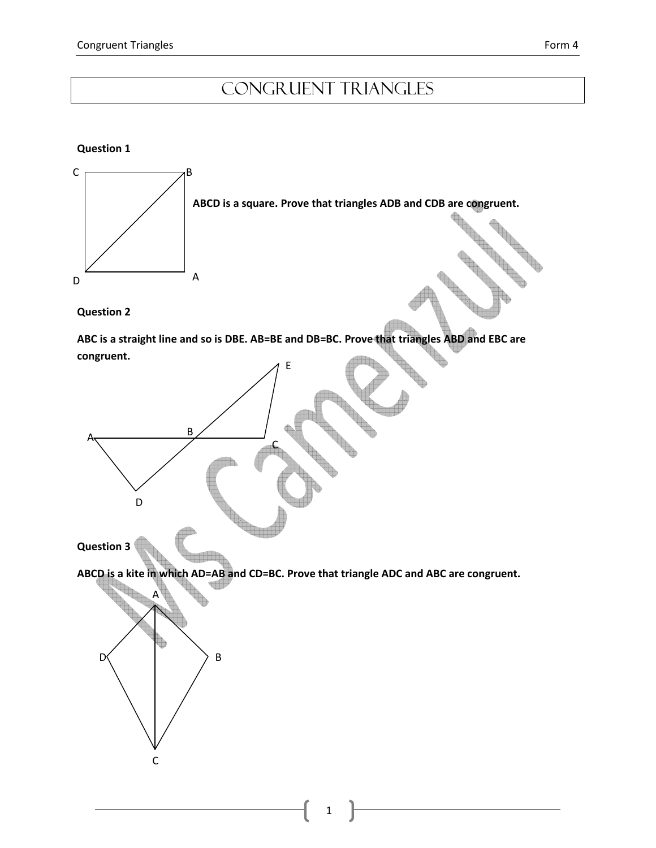# Congruent Triangles

### Question 1



B

C

D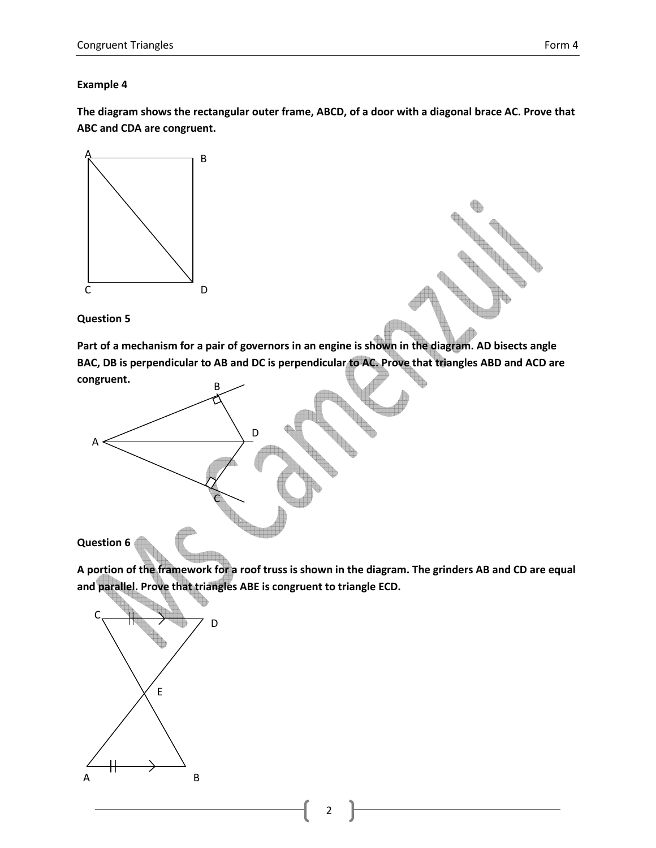### Example 4

The diagram shows the rectangular outer frame, ABCD, of a door with a diagonal brace AC. Prove that ABC and CDA are congruent.



Question 5

Part of a mechanism for a pair of governors in an engine is shown in the diagram. AD bisects angle BAC, DB is perpendicular to AB and DC is perpendicular to AC. Prove that triangles ABD and ACD are congruent.



A portion of the framework for a roof truss is shown in the diagram. The grinders AB and CD are equal and parallel. Prove that triangles ABE is congruent to triangle ECD.



2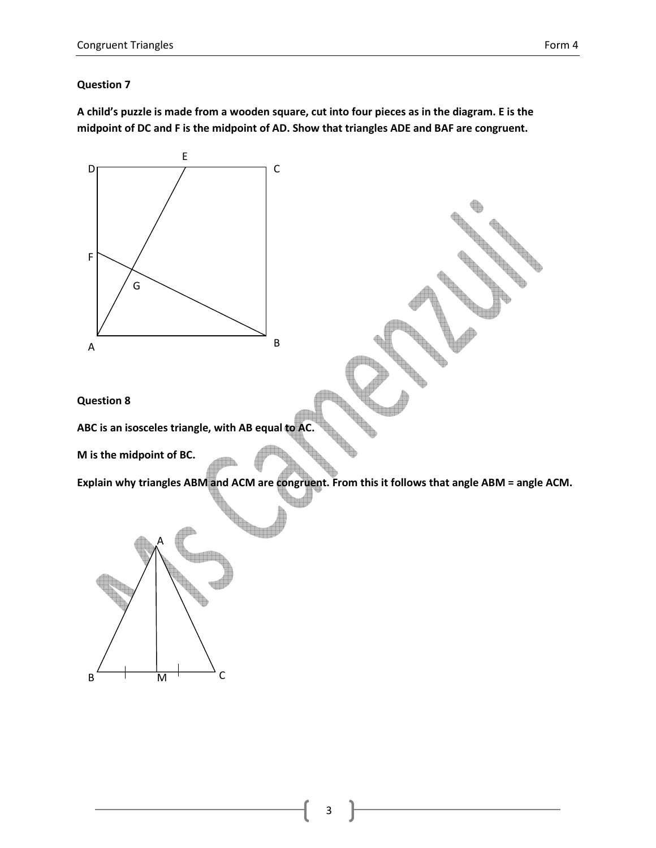A child's puzzle is made from a wooden square, cut into four pieces as in the diagram. E is the midpoint of DC and F is the midpoint of AD. Show that triangles ADE and BAF are congruent.

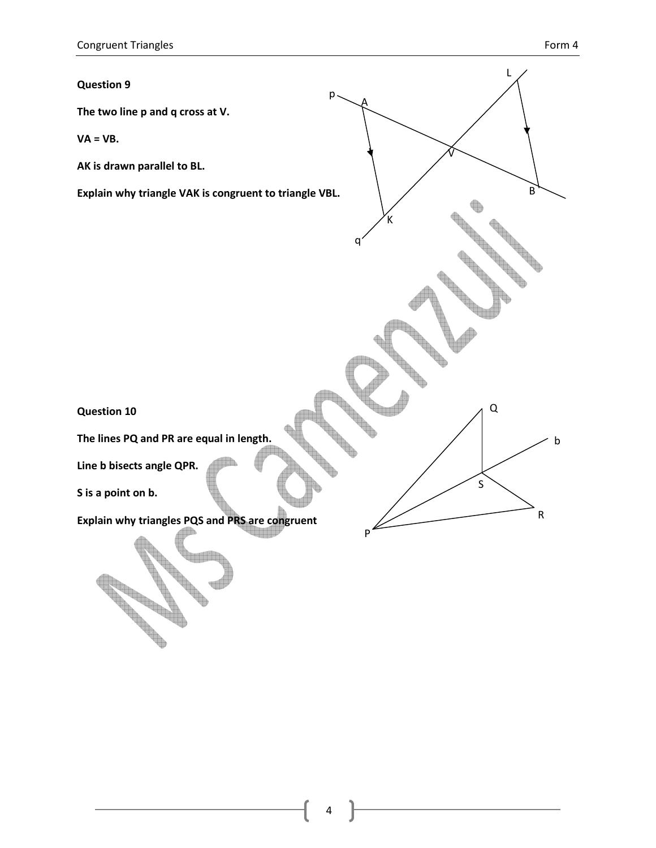**Contract Contract Contract Contract Contract Contract Contract Contract Contract Contract Contract Contract Contract Contract Contract Contract Contract Contract Contract Contract Contract Contract Contract Contract Contr** 

# L Question 9 p A The two line p and q cross at V.  $VA = VB$ . V AK is drawn parallel to BL. B Explain why triangle VAK is congruent to triangle VBL. K q  ${\sf Q}$ Question 10 The lines PQ and PR are equal in length. bLine b bisects angle QPR. S S is a point on b. R Explain why triangles PQS and PRS are congruent P **Contract on the Contract of The Contract of The Contract of The Contract of The Contract of The Contract of Th**

 $\Lambda$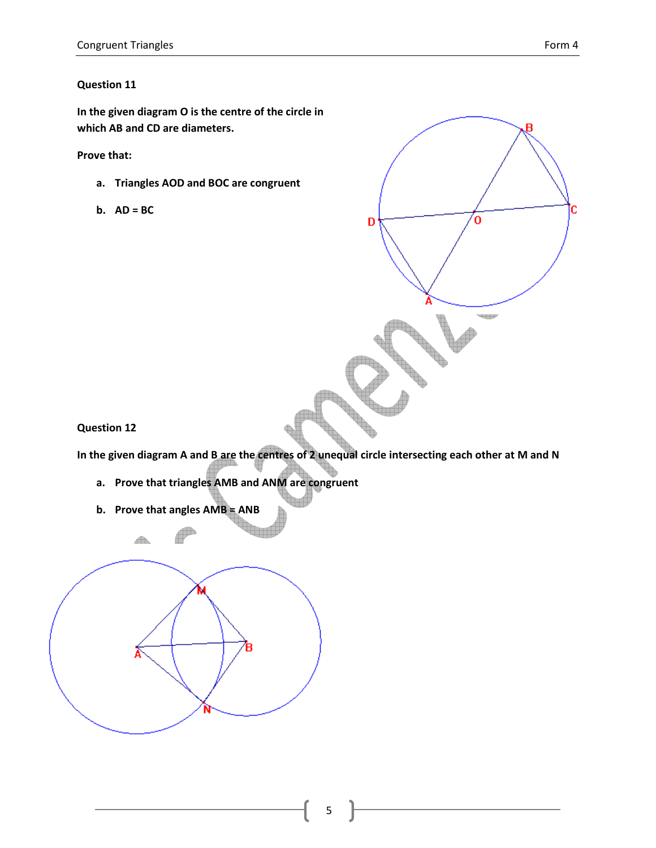In the given diagram O is the centre of the circle in which AB and CD are diameters.

Prove that:

- a. Triangles AOD and BOC are congruent
- $b.$  AD = BC



Question 12

In the given diagram A and B are the centres of 2 unequal circle intersecting each other at M and N

- a. Prove that triangles AMB and ANM are congruent
- b. Prove that angles AMB = ANB

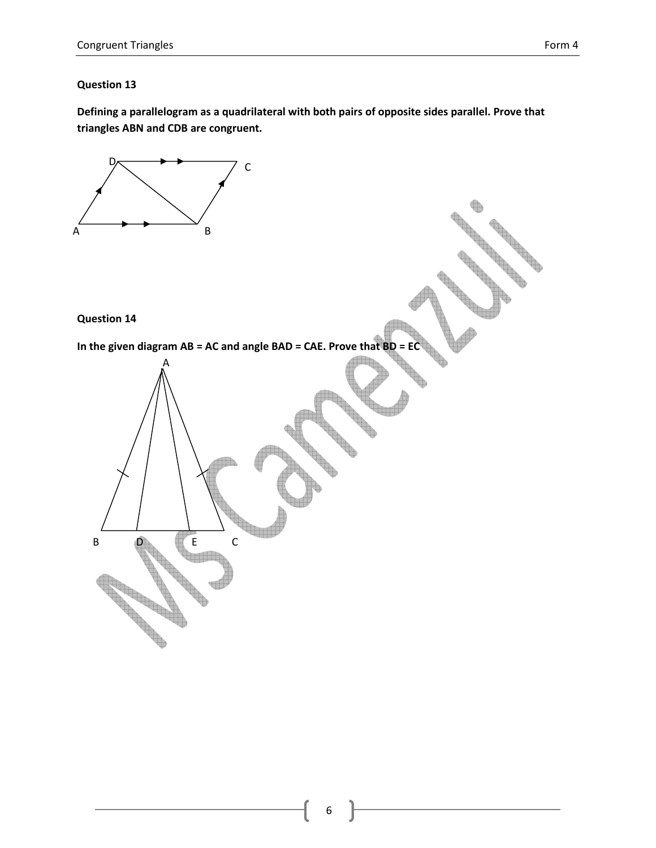Defining a parallelogram as a quadrilateral with both pairs of opposite sides parallel. Prove that triangles ABN and CDB are congruent.

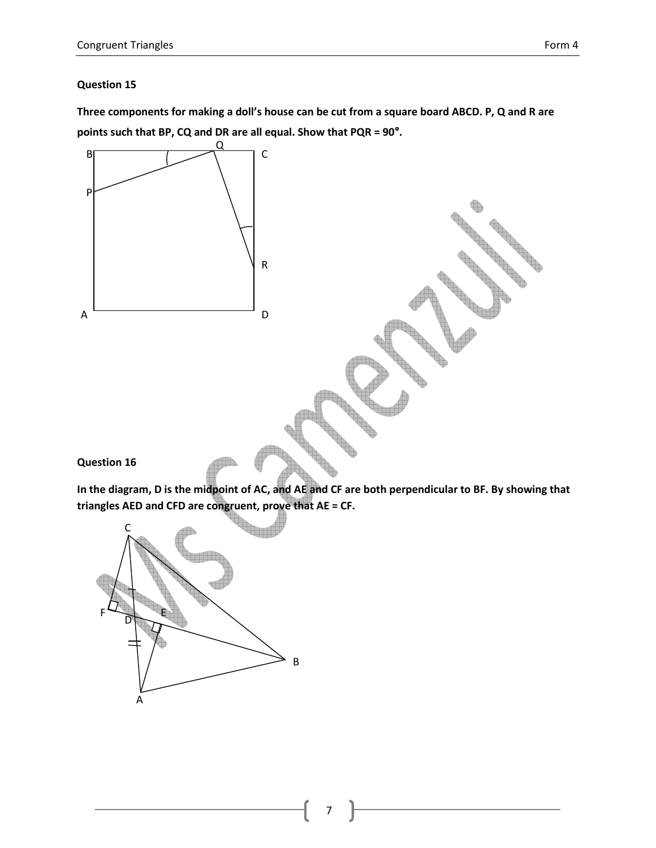Three components for making a doll's house can be cut from a square board ABCD. P, Q and R are points such that BP, CQ and DR are all equal. Show that PQR = 90°.



In the diagram, D is the midpoint of AC, and AE and CF are both perpendicular to BF. By showing that triangles AED and CFD are congruent, prove that AE = CF.

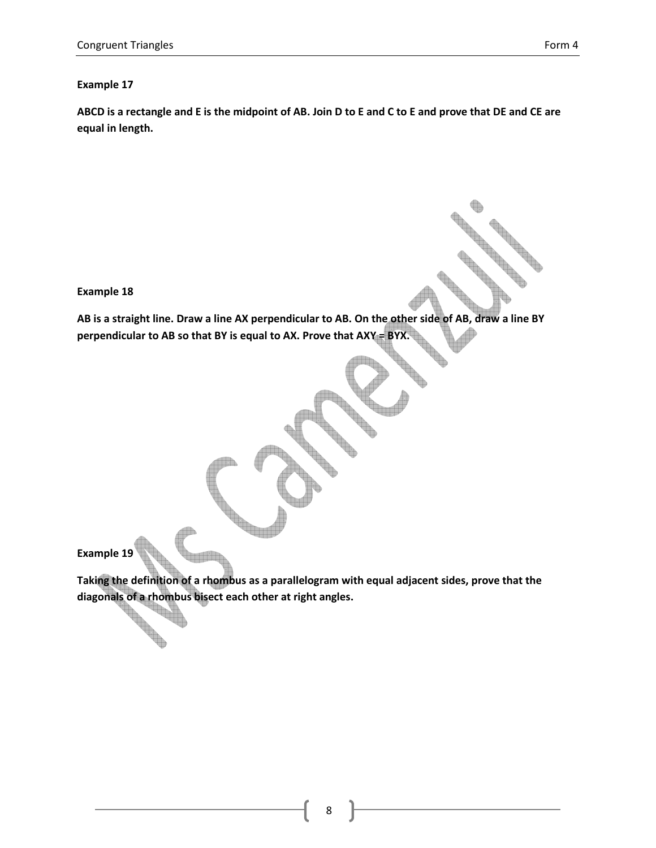#### Example 17

ABCD is a rectangle and E is the midpoint of AB. Join D to E and C to E and prove that DE and CE are equal in length.

Example 18

AB is a straight line. Draw a line AX perpendicular to AB. On the other side of AB, draw a line BY perpendicular to AB so that BY is equal to AX. Prove that AXY = BYX.

Example 19

**Contract of the Contract of the Contract of the Contract of the Contract of the Contract of the Contract of the Contract of the Contract of The Contract of The Contract of The Contract of The Contract of The Contract of T** 

Taking the definition of a rhombus as a parallelogram with equal adjacent sides, prove that the diagonals of a rhombus bisect each other at right angles.